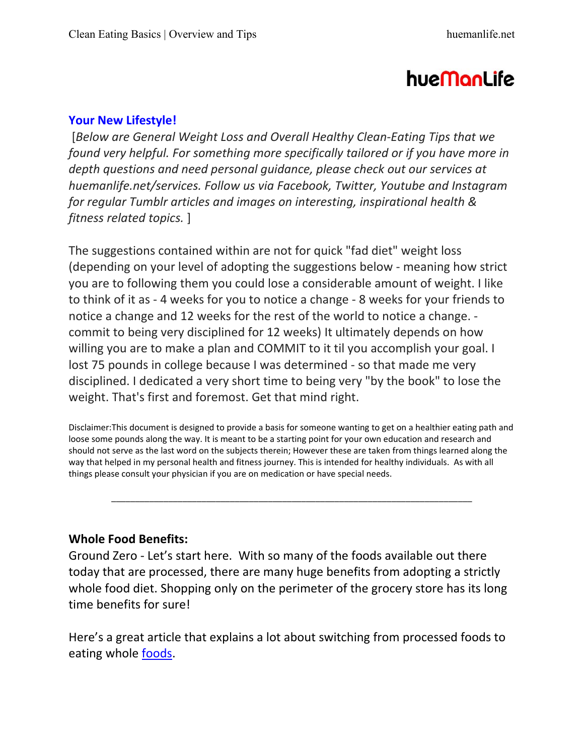# hueManLife

#### **Your New Lifestyle!**

[*Below are General Weight Loss and Overall Healthy CleanͲEating Tips that we found very helpful. For something more specifically tailored or if you have more in depth questions and need personal guidance, please check out our services at huemanlife.net/services. Follow us via Facebook, Twitter, Youtube and Instagram for regular Tumblr articles and images on interesting, inspirational health & fitness related topics.* ]

The suggestions contained within are not for quick "fad diet" weight loss (depending on your level of adopting the suggestions below - meaning how strict you are to following them you could lose a considerable amount of weight. I like to think of it as - 4 weeks for you to notice a change - 8 weeks for your friends to notice a change and 12 weeks for the rest of the world to notice a change. commit to being very disciplined for 12 weeks) It ultimately depends on how willing you are to make a plan and COMMIT to it til you accomplish your goal. I lost 75 pounds in college because I was determined - so that made me very disciplined. I dedicated a very short time to being very "by the book" to lose the weight. That's first and foremost. Get that mind right.

Disclaimer:This document is designed to provide a basis for someone wanting to get on a healthier eating path and loose some pounds along the way. It is meant to be a starting point for your own education and research and should not serve as the last word on the subjects therein; However these are taken from things learned along the way that helped in my personal health and fitness journey. This is intended for healthy individuals. As with all things please consult your physician if you are on medication or have special needs.

\_\_\_\_\_\_\_\_\_\_\_\_\_\_\_\_\_\_\_\_\_\_\_\_\_\_\_\_\_\_\_\_\_\_\_\_\_\_\_\_\_\_\_\_\_\_\_\_\_\_\_\_\_\_\_\_\_\_\_\_\_\_\_\_\_\_\_\_\_\_\_\_\_\_\_\_

# **Whole Food Benefits:**

Ground Zero - Let's start here. With so many of the foods available out there today that are processed, there are many huge benefits from adopting a strictly whole food diet. Shopping only on the perimeter of the grocery store has its long time benefits for sure!

Here's a great article that explains a lot about switching from processed foods to eating whole **foods**.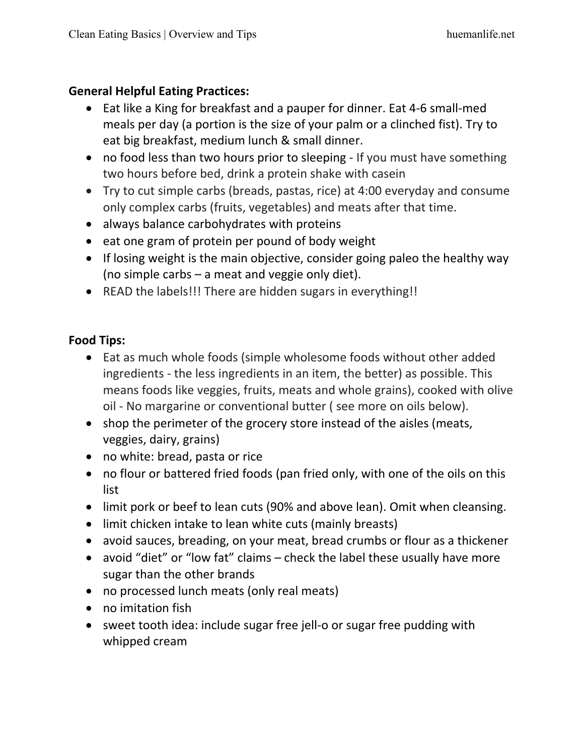#### **General Helpful Eating Practices:**

- Eat like a King for breakfast and a pauper for dinner. Eat 4-6 small-med meals per day (a portion is the size of your palm or a clinched fist). Try to eat big breakfast, medium lunch & small dinner.
- no food less than two hours prior to sleeping If you must have something two hours before bed, drink a protein shake with casein
- Try to cut simple carbs (breads, pastas, rice) at 4:00 everyday and consume only complex carbs (fruits, vegetables) and meats after that time.
- always balance carbohydrates with proteins
- $\bullet$  eat one gram of protein per pound of body weight
- $\bullet$  If losing weight is the main objective, consider going paleo the healthy way (no simple carbs – a meat and veggie only diet).
- READ the labels!!! There are hidden sugars in everything!!

#### **Food Tips:**

- Eat as much whole foods (simple wholesome foods without other added ingredients - the less ingredients in an item, the better) as possible. This means foods like veggies, fruits, meats and whole grains), cooked with olive oil - No margarine or conventional butter (see more on oils below).
- $\bullet$  shop the perimeter of the grocery store instead of the aisles (meats, veggies, dairy, grains)
- no white: bread, pasta or rice
- no flour or battered fried foods (pan fried only, with one of the oils on this list
- limit pork or beef to lean cuts (90% and above lean). Omit when cleansing.
- $\bullet$  limit chicken intake to lean white cuts (mainly breasts)
- avoid sauces, breading, on your meat, bread crumbs or flour as a thickener
- avoid "diet" or "low fat" claims  $-$  check the label these usually have more sugar than the other brands
- no processed lunch meats (only real meats)
- no imitation fish
- sweet tooth idea: include sugar free jell-o or sugar free pudding with whipped cream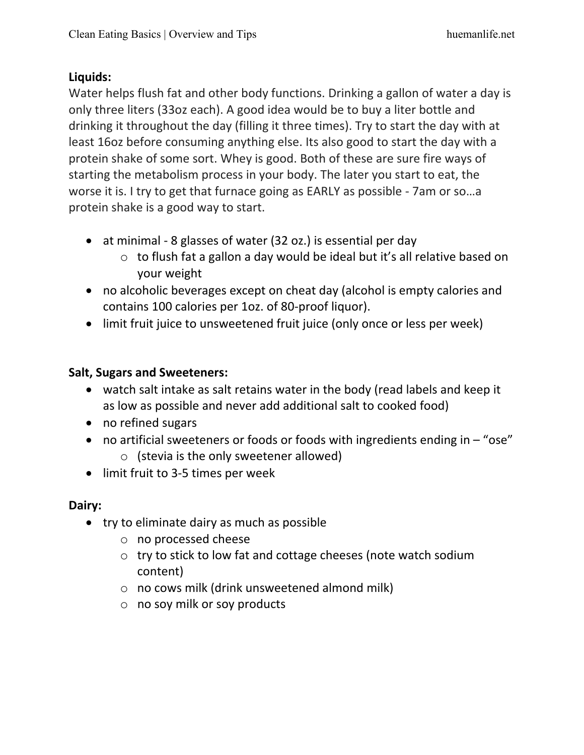#### **Liquids:**

Water helps flush fat and other body functions. Drinking a gallon of water a day is only three liters (33oz each). A good idea would be to buy a liter bottle and drinking it throughout the day (filling it three times). Try to start the day with at least 16oz before consuming anything else. Its also good to start the day with a protein shake of some sort. Whey is good. Both of these are sure fire ways of starting the metabolism process in your body. The later you start to eat, the worse it is. I try to get that furnace going as EARLY as possible - 7am or so...a protein shake is a good way to start.

- at minimal 8 glasses of water (32 oz.) is essential per day
	- o to flush fat a gallon a day would be ideal but it's all relative based on your weight
- no alcoholic beverages except on cheat day (alcohol is empty calories and contains 100 calories per 1oz. of 80-proof liquor).
- limit fruit juice to unsweetened fruit juice (only once or less per week)

#### **Salt, Sugars and Sweeteners:**

- watch salt intake as salt retains water in the body (read labels and keep it as low as possible and never add additional salt to cooked food)
- no refined sugars
- no artificial sweeteners or foods or foods with ingredients ending in  $-$  "ose"
	- o (stevia is the only sweetener allowed)
- limit fruit to 3-5 times per week

# **Dairy:**

- $\bullet$  try to eliminate dairy as much as possible
	- o no processed cheese
	- o try to stick to low fat and cottage cheeses (note watch sodium content)
	- o no cows milk (drink unsweetened almond milk)
	- o no soy milk or soy products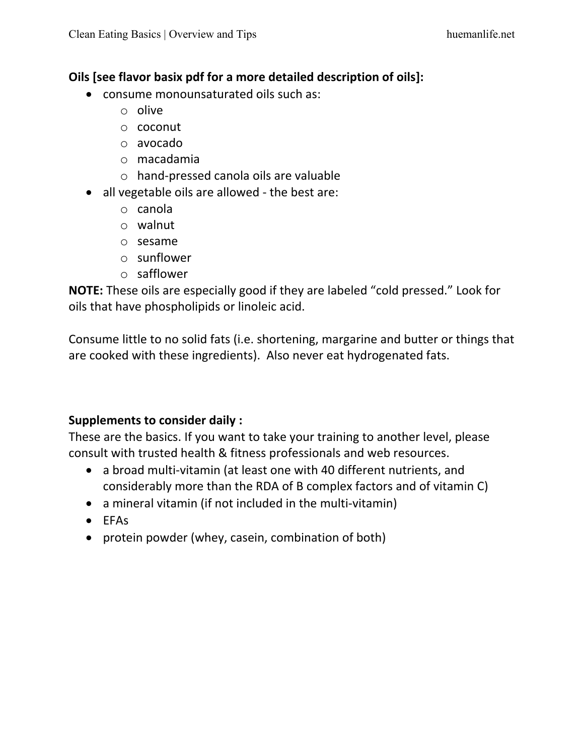#### **Oils [see flavor basix pdf for a more detailed description of oils]:**

- consume monounsaturated oils such as:
	- o olive
	- o coconut
	- o avocado
	- o macadamia
	- o handͲpressed canola oils are valuable
- $\bullet$  all vegetable oils are allowed the best are:
	- o canola
	- o walnut
	- o sesame
	- o sunflower
	- o safflower

**NOTE:** These oils are especially good if they are labeled "cold pressed." Look for oils that have phospholipids or linoleic acid.

Consume little to no solid fats (i.e. shortening, margarine and butter or things that are cooked with these ingredients). Also never eat hydrogenated fats.

# **Supplements to consider daily :**

These are the basics. If you want to take your training to another level, please consult with trusted health & fitness professionals and web resources.

- a broad multi-vitamin (at least one with 40 different nutrients, and considerably more than the RDA of B complex factors and of vitamin C)
- $\bullet$  a mineral vitamin (if not included in the multi-vitamin)
- $\bullet$  EFAs
- protein powder (whey, casein, combination of both)